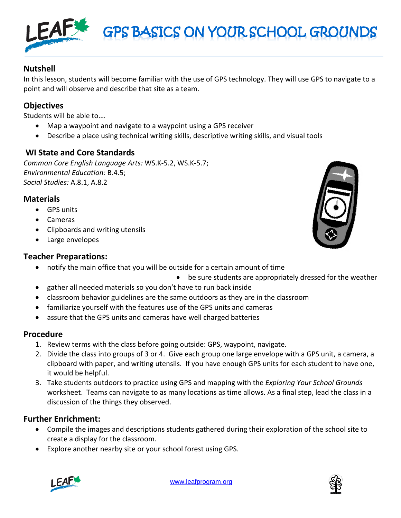





# **Nutshell**

In this lesson, students will become familiar with the use of GPS technology. They will use GPS to navigate to a point and will observe and describe that site as a team.

GPS BASICS ON YOUR SCHOOL GROUNDS

## **Objectives**

Students will be able to….

- Map a waypoint and navigate to a waypoint using a GPS receiver
- Describe a place using technical writing skills, descriptive writing skills, and visual tools

## **WI State and Core Standards**

*Common Core English Language Arts:* WS.K-5.2, WS.K-5.7; *Environmental Education:* B.4.5; *Social Studies:* A.8.1, A.8.2

## **Materials**

- GPS units
- Cameras
- Clipboards and writing utensils
- Large envelopes

#### **Teacher Preparations:**

- notify the main office that you will be outside for a certain amount of time
	- be sure students are appropriately dressed for the weather
- gather all needed materials so you don't have to run back inside
- classroom behavior guidelines are the same outdoors as they are in the classroom
- familiarize yourself with the features use of the GPS units and cameras
- assure that the GPS units and cameras have well charged batteries

#### **Procedure**

- 1. Review terms with the class before going outside: GPS, waypoint, navigate.
- 2. Divide the class into groups of 3 or 4. Give each group one large envelope with a GPS unit, a camera, a clipboard with paper, and writing utensils. If you have enough GPS units for each student to have one, it would be helpful.
- 3. Take students outdoors to practice using GPS and mapping with the *Exploring Your School Grounds* worksheet. Teams can navigate to as many locations as time allows. As a final step, lead the class in a discussion of the things they observed.

## **Further Enrichment:**

- Compile the images and descriptions students gathered during their exploration of the school site to create a display for the classroom.
- Explore another nearby site or your school forest using GPS.